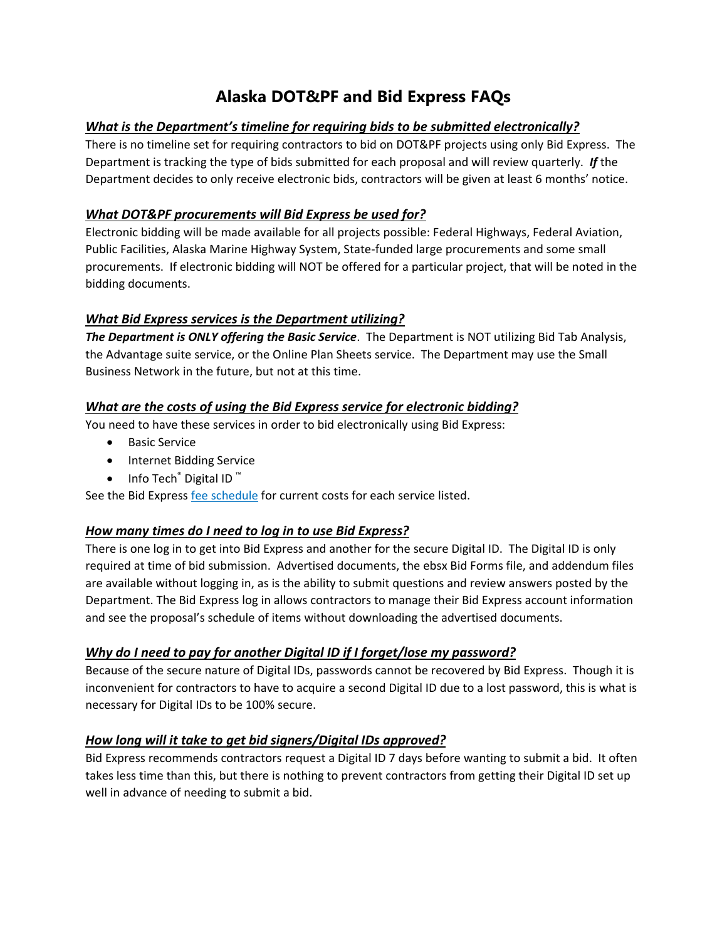# **Alaska DOT&PF and Bid Express FAQs**

## *What is the Department's timeline for requiring bids to be submitted electronically?*

There is no timeline set for requiring contractors to bid on DOT&PF projects using only Bid Express. The Department is tracking the type of bids submitted for each proposal and will review quarterly. *If* the Department decides to only receive electronic bids, contractors will be given at least 6 months' notice.

## *What DOT&PF procurements will Bid Express be used for?*

Electronic bidding will be made available for all projects possible: Federal Highways, Federal Aviation, Public Facilities, Alaska Marine Highway System, State-funded large procurements and some small procurements. If electronic bidding will NOT be offered for a particular project, that will be noted in the bidding documents.

## *What Bid Express services is the Department utilizing?*

*The Department is ONLY offering the Basic Service*. The Department is NOT utilizing Bid Tab Analysis, the Advantage suite service, or the Online Plan Sheets service. The Department may use the Small Business Network in the future, but not at this time.

## *What are the costs of using the Bid Express service for electronic bidding?*

You need to have these services in order to bid electronically using Bid Express:

- **•** Basic Service
- Internet Bidding Service
- Info Tech<sup>®</sup> Digital ID<sup>™</sup>

See the Bid Express [fee schedule](https://www.infotechfl.com/legal/fee_schedule) for current costs for each service listed.

### *How many times do I need to log in to use Bid Express?*

There is one log in to get into Bid Express and another for the secure Digital ID. The Digital ID is only required at time of bid submission. Advertised documents, the ebsx Bid Forms file, and addendum files are available without logging in, as is the ability to submit questions and review answers posted by the Department. The Bid Express log in allows contractors to manage their Bid Express account information and see the proposal's schedule of items without downloading the advertised documents.

### *Why do I need to pay for another Digital ID if I forget/lose my password?*

Because of the secure nature of Digital IDs, passwords cannot be recovered by Bid Express. Though it is inconvenient for contractors to have to acquire a second Digital ID due to a lost password, this is what is necessary for Digital IDs to be 100% secure.

### *How long will it take to get bid signers/Digital IDs approved?*

Bid Express recommends contractors request a Digital ID 7 days before wanting to submit a bid. It often takes less time than this, but there is nothing to prevent contractors from getting their Digital ID set up well in advance of needing to submit a bid.